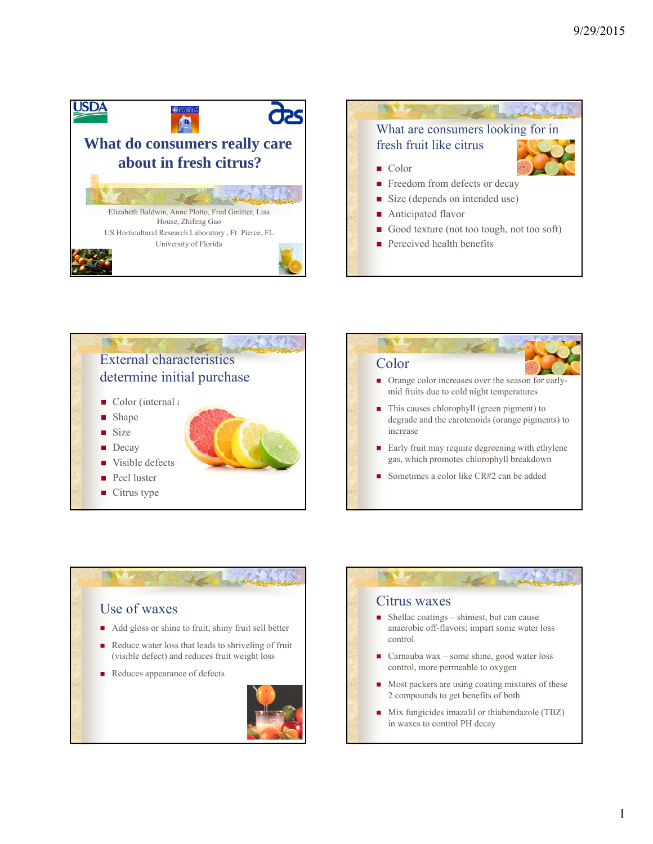









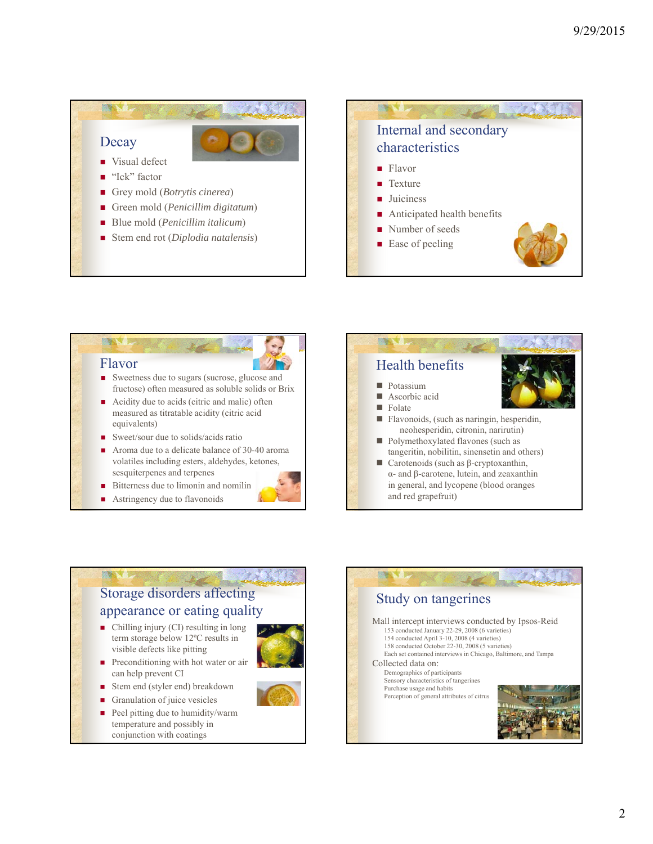### **NY Y** Decay Visual defect ■ "Ick" factor Grey mold (*Botrytis cinerea*) Green mold (*Penicillim digitatum*) Blue mold (*Penicillim italicum*) ■ Stem end rot (*Diplodia natalensis*)

## **BAY PA** Internal and secondary characteristics **Flavor Texture Juiciness** ■ Anticipated health benefits Number of seeds Ease of peeling

#### NY Flavor



- fructose) often measured as soluble solids or Brix
- Acidity due to acids (citric and malic) often measured as titratable acidity (citric acid equivalents)
- Sweet/sour due to solids/acids ratio
- Aroma due to a delicate balance of 30-40 aroma volatiles including esters, aldehydes, ketones, sesquiterpenes and terpenes
- Bitterness due to limonin and nomilin
- **Astringency due to flavonoids**



# Storage disorders affecting appearance or eating quality  $\blacksquare$  Chilling injury (CI) resulting in long



**Preconditioning with hot water or air** can help prevent CI

term storage below 12ºC results in visible defects like pitting

- Stem end (styler end) breakdown
- Granulation of juice vesicles
- **Peel pitting due to humidity/warm** temperature and possibly in conjunction with coatings